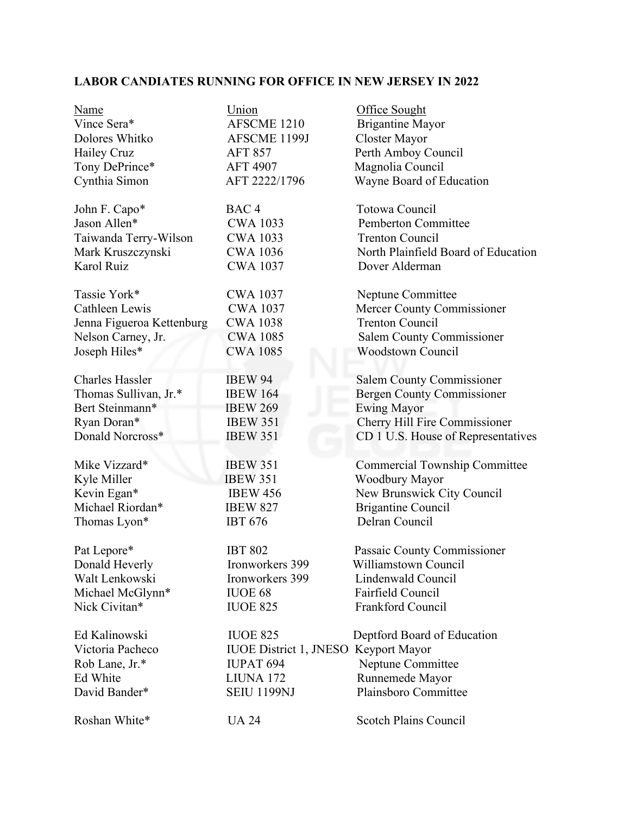## **LABOR CANDIATES RUNNING FOR OFFICE IN NEW JERSEY IN 2022**

| Name<br>Vince Sera*       | Union<br>AFSCME 1210                        | Office Sought<br><b>Brigantine Mayor</b> |
|---------------------------|---------------------------------------------|------------------------------------------|
| Dolores Whitko            | AFSCME 1199J                                | <b>Closter Mayor</b>                     |
|                           |                                             |                                          |
| Hailey Cruz               | <b>AFT 857</b>                              | Perth Amboy Council                      |
| Tony DePrince*            | <b>AFT 4907</b>                             | Magnolia Council                         |
| Cynthia Simon             | AFT 2222/1796                               | Wayne Board of Education                 |
| John F. Capo*             | BAC <sub>4</sub>                            | Totowa Council                           |
| Jason Allen*              | <b>CWA 1033</b>                             | <b>Pemberton Committee</b>               |
| Taiwanda Terry-Wilson     | <b>CWA 1033</b>                             | <b>Trenton Council</b>                   |
| Mark Kruszczynski         | <b>CWA 1036</b>                             | North Plainfield Board of Education      |
| Karol Ruiz                | <b>CWA 1037</b>                             | Dover Alderman                           |
| Tassie York*              | <b>CWA 1037</b>                             | Neptune Committee                        |
| Cathleen Lewis            | <b>CWA 1037</b>                             | Mercer County Commissioner               |
| Jenna Figueroa Kettenburg | <b>CWA 1038</b>                             | <b>Trenton Council</b>                   |
| Nelson Carney, Jr.        | <b>CWA 1085</b>                             | <b>Salem County Commissioner</b>         |
| Joseph Hiles*             | <b>CWA 1085</b>                             | <b>Woodstown Council</b>                 |
|                           |                                             |                                          |
| <b>Charles Hassler</b>    | <b>IBEW 94</b>                              | <b>Salem County Commissioner</b>         |
| Thomas Sullivan, Jr.*     | <b>IBEW 164</b>                             | <b>Bergen County Commissioner</b>        |
| Bert Steinmann*           | <b>IBEW 269</b>                             | <b>Ewing Mayor</b>                       |
| Ryan Doran*               | <b>IBEW 351</b>                             | <b>Cherry Hill Fire Commissioner</b>     |
| Donald Norcross*          | <b>IBEW 351</b>                             | CD 1 U.S. House of Representatives       |
|                           |                                             |                                          |
| Mike Vizzard*             | <b>IBEW 351</b>                             | <b>Commercial Township Committee</b>     |
| Kyle Miller               | <b>IBEW 351</b>                             | Woodbury Mayor                           |
| Kevin Egan*               | <b>IBEW 456</b>                             | New Brunswick City Council               |
| Michael Riordan*          | <b>IBEW 827</b>                             | <b>Brigantine Council</b>                |
| Thomas Lyon*              | <b>IBT</b> 676                              | Delran Council                           |
|                           |                                             |                                          |
| Pat Lepore*               | <b>IBT 802</b>                              | Passaic County Commissioner              |
| Donald Heverly            | Ironworkers 399                             | Williamstown Council                     |
| Walt Lenkowski            | Ironworkers 399                             | Lindenwald Council                       |
| Michael McGlynn*          | <b>IUOE 68</b>                              | Fairfield Council                        |
| Nick Civitan*             | <b>IUOE 825</b>                             | Frankford Council                        |
| Ed Kalinowski             | <b>IUOE 825</b>                             | Deptford Board of Education              |
| Victoria Pacheco          | <b>IUOE District 1, JNESO Keyport Mayor</b> |                                          |
| Rob Lane, Jr.*            | <b>IUPAT 694</b>                            | Neptune Committee                        |
| Ed White                  | LIUNA 172                                   | Runnemede Mayor                          |
| David Bander*             | <b>SEIU 1199NJ</b>                          | Plainsboro Committee                     |
|                           |                                             |                                          |
| Roshan White*             | <b>UA 24</b>                                | <b>Scotch Plains Council</b>             |